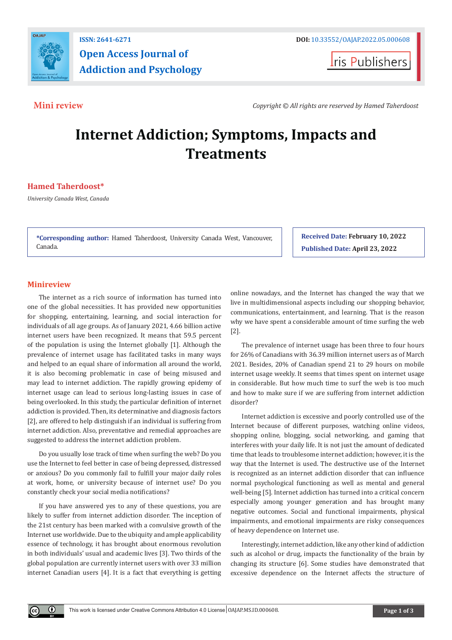

## **ISSN: 2641-6271 DOI:** [10.33552/OAJAP.2022.05.000608](http://dx.doi.org/10.33552/OAJAP.2022.05.000608) **Open Access Journal of Addiction and Psychology**

**Iris Publishers** 

**Mini review** *Copyright © All rights are reserved by Hamed Taherdoost*

# **Internet Addiction; Symptoms, Impacts and Treatments**

### **Hamed Taherdoost\***

*University Canada West, Canada*

**\*Corresponding author:** Hamed Taherdoost, University Canada West, Vancouver, Canada.

**Received Date: February 10, 2022 Published Date: April 23, 2022**

### **Minireview**

 $^{\circ}$ 

The internet as a rich source of information has turned into one of the global necessities. It has provided new opportunities for shopping, entertaining, learning, and social interaction for individuals of all age groups. As of January 2021, 4.66 billion active internet users have been recognized. It means that 59.5 percent of the population is using the Internet globally [1]. Although the prevalence of internet usage has facilitated tasks in many ways and helped to an equal share of information all around the world, it is also becoming problematic in case of being misused and may lead to internet addiction. The rapidly growing epidemy of internet usage can lead to serious long-lasting issues in case of being overlooked. In this study, the particular definition of internet addiction is provided. Then, its determinative and diagnosis factors [2], are offered to help distinguish if an individual is suffering from internet addiction. Also, preventative and remedial approaches are suggested to address the internet addiction problem.

Do you usually lose track of time when surfing the web? Do you use the Internet to feel better in case of being depressed, distressed or anxious? Do you commonly fail to fulfill your major daily roles at work, home, or university because of internet use? Do you constantly check your social media notifications?

If you have answered yes to any of these questions, you are likely to suffer from internet addiction disorder. The inception of the 21st century has been marked with a convulsive growth of the Internet use worldwide. Due to the ubiquity and ample applicability essence of technology, it has brought about enormous revolution in both individuals' usual and academic lives [3]. Two thirds of the global population are currently internet users with over 33 million internet Canadian users [4]. It is a fact that everything is getting online nowadays, and the Internet has changed the way that we live in multidimensional aspects including our shopping behavior, communications, entertainment, and learning. That is the reason why we have spent a considerable amount of time surfing the web [2].

The prevalence of internet usage has been three to four hours for 26% of Canadians with 36.39 million internet users as of March 2021. Besides, 20% of Canadian spend 21 to 29 hours on mobile internet usage weekly. It seems that times spent on internet usage in considerable. But how much time to surf the web is too much and how to make sure if we are suffering from internet addiction disorder?

Internet addiction is excessive and poorly controlled use of the Internet because of different purposes, watching online videos, shopping online, blogging, social networking, and gaming that interferes with your daily life. It is not just the amount of dedicated time that leads to troublesome internet addiction; however, it is the way that the Internet is used. The destructive use of the Internet is recognized as an internet addiction disorder that can influence normal psychological functioning as well as mental and general well-being [5]. Internet addiction has turned into a critical concern especially among younger generation and has brought many negative outcomes. Social and functional impairments, physical impairments, and emotional impairments are risky consequences of heavy dependence on Internet use.

Interestingly, internet addiction, like any other kind of addiction such as alcohol or drug, impacts the functionality of the brain by changing its structure [6]. Some studies have demonstrated that excessive dependence on the Internet affects the structure of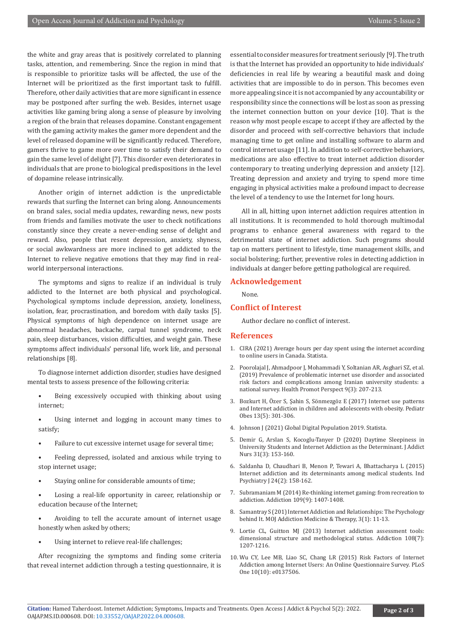the white and gray areas that is positively correlated to planning tasks, attention, and remembering. Since the region in mind that is responsible to prioritize tasks will be affected, the use of the Internet will be prioritized as the first important task to fulfill. Therefore, other daily activities that are more significant in essence may be postponed after surfing the web. Besides, internet usage activities like gaming bring along a sense of pleasure by involving a region of the brain that releases dopamine. Constant engagement with the gaming activity makes the gamer more dependent and the level of released dopamine will be significantly reduced. Therefore, gamers thrive to game more over time to satisfy their demand to gain the same level of delight [7]. This disorder even deteriorates in individuals that are prone to biological predispositions in the level of dopamine release intrinsically.

Another origin of internet addiction is the unpredictable rewards that surfing the Internet can bring along. Announcements on brand sales, social media updates, rewarding news, new posts from friends and families motivate the user to check notifications constantly since they create a never-ending sense of delight and reward. Also, people that resent depression, anxiety, shyness, or social awkwardness are more inclined to get addicted to the Internet to relieve negative emotions that they may find in realworld interpersonal interactions.

The symptoms and signs to realize if an individual is truly addicted to the Internet are both physical and psychological. Psychological symptoms include depression, anxiety, loneliness, isolation, fear, procrastination, and boredom with daily tasks [5]. Physical symptoms of high dependence on internet usage are abnormal headaches, backache, carpal tunnel syndrome, neck pain, sleep disturbances, vision difficulties, and weight gain. These symptoms affect individuals' personal life, work life, and personal relationships [8].

To diagnose internet addiction disorder, studies have designed mental tests to assess presence of the following criteria:

- Being excessively occupied with thinking about using internet;
- Using internet and logging in account many times to satisfy;
- Failure to cut excessive internet usage for several time;
- Feeling depressed, isolated and anxious while trying to stop internet usage;
- Staying online for considerable amounts of time;
- Losing a real-life opportunity in career, relationship or education because of the Internet;
- Avoiding to tell the accurate amount of internet usage honestly when asked by others;
- Using internet to relieve real-life challenges;

After recognizing the symptoms and finding some criteria that reveal internet addiction through a testing questionnaire, it is essential to consider measures for treatment seriously [9]. The truth is that the Internet has provided an opportunity to hide individuals' deficiencies in real life by wearing a beautiful mask and doing activities that are impossible to do in person. This becomes even more appealing since it is not accompanied by any accountability or responsibility since the connections will be lost as soon as pressing the internet connection button on your device [10]. That is the reason why most people escape to accept if they are affected by the disorder and proceed with self-corrective behaviors that include managing time to get online and installing software to alarm and control internet usage [11]. In addition to self-corrective behaviors, medications are also effective to treat internet addiction disorder contemporary to treating underlying depression and anxiety [12]. Treating depression and anxiety and trying to spend more time engaging in physical activities make a profound impact to decrease the level of a tendency to use the Internet for long hours.

All in all, hitting upon internet addiction requires attention in all institutions. It is recommended to hold thorough multimodal programs to enhance general awareness with regard to the detrimental state of internet addiction. Such programs should tap on matters pertinent to lifestyle, time management skills, and social bolstering; further, preventive roles in detecting addiction in individuals at danger before getting pathological are required.

#### **Acknowledgement**

None.

#### **Conflict of Interest**

Author declare no conflict of interest.

#### **References**

- 1. [CIRA \(2021\) Average hours per day spent using the internet according](https://www-statista-com.ezproxy.myucwest.ca/statistics/474772/canada-daily-time-per-capita-internet/) [to online users in Canada. Statista.](https://www-statista-com.ezproxy.myucwest.ca/statistics/474772/canada-daily-time-per-capita-internet/)
- 2. [Poorolajal J, Ahmadpoor J, Mohammadi Y, Soltanian AR, Asghari SZ, et al.](https://pubmed.ncbi.nlm.nih.gov/31508341/) [\(2019\) Prevalence of problematic internet use disorder and associated](https://pubmed.ncbi.nlm.nih.gov/31508341/) [risk factors and complications among Iranian university students: a](https://pubmed.ncbi.nlm.nih.gov/31508341/) [national survey. Health Promot Perspect 9\(3\): 207-213.](https://pubmed.ncbi.nlm.nih.gov/31508341/)
- 3. [Bozkurt H, Özer S, Şahin S, Sönmezgöz E \(2017\) Internet use patterns](https://pubmed.ncbi.nlm.nih.gov/28371539/) [and Internet addiction in children and adolescents with obesity. Pediatr](https://pubmed.ncbi.nlm.nih.gov/28371539/) [Obes 13\(5\): 301-306.](https://pubmed.ncbi.nlm.nih.gov/28371539/)
- 4. [Johnson J \(2021\) Global Digital Population 2019. Statista.](https://www.statista.com/statistics/617136/digital-population-worldwide/)
- 5. [Demir G, Arslan S, Kocoglu-Tanyer D \(2020\) Daytime Sleepiness in](https://pubmed.ncbi.nlm.nih.gov/32868608/) [University Students and Internet Addiction as the Determinant. J Addict](https://pubmed.ncbi.nlm.nih.gov/32868608/) [Nurs 31\(3\): 153-160.](https://pubmed.ncbi.nlm.nih.gov/32868608/)
- 6. [Saldanha D, Chaudhari B, Menon P, Tewari A, Bhattacharya L \(2015\)](https://pubmed.ncbi.nlm.nih.gov/27212820/) [Internet addiction and its determinants among medical students. Ind](https://pubmed.ncbi.nlm.nih.gov/27212820/) [Psychiatry J 24\(2\): 158-162.](https://pubmed.ncbi.nlm.nih.gov/27212820/)
- 7. [Subramaniam M \(2014\) Re-thinking internet gaming: from recreation to](https://pubmed.ncbi.nlm.nih.gov/25103096/) [addiction. Addiction 109\(9\): 1407-1408.](https://pubmed.ncbi.nlm.nih.gov/25103096/)
- 8. Samantray S (201) Internet Addiction and Relationships: The Psychology behind It. MOJ Addiction Medicine & Therapy, 3(1): 11-13.
- 9. [Lortie CL, Guitton MJ \(2013\) Internet addiction assessment tools:](https://pubmed.ncbi.nlm.nih.gov/23651255/) [dimensional structure and methodological status. Addiction 108\(7\):](https://pubmed.ncbi.nlm.nih.gov/23651255/) [1207-1216.](https://pubmed.ncbi.nlm.nih.gov/23651255/)
- 10. [Wu CY, Lee MB, Liao SC, Chang LR \(2015\) Risk Factors of Internet](https://pubmed.ncbi.nlm.nih.gov/26462196/) [Addiction among Internet Users: An Online Questionnaire Survey. PLoS](https://pubmed.ncbi.nlm.nih.gov/26462196/) [One 10\(10\): e0137506.](https://pubmed.ncbi.nlm.nih.gov/26462196/)